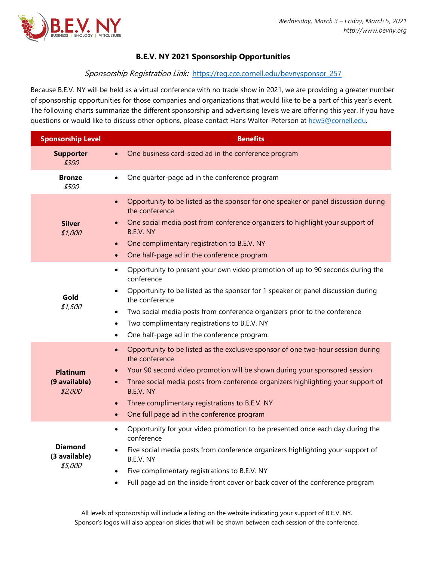

## **B.E.V. NY 2021 Sponsorship Opportunities**

## Sponsorship Registration Link: [https://reg.cce.cornell.edu/bevnysponsor\\_257](https://reg.cce.cornell.edu/bevnysponsor_257)

Because B.E.V. NY will be held as a virtual conference with no trade show in 2021, we are providing a greater number of sponsorship opportunities for those companies and organizations that would like to be a part of this year's event. The following charts summarize the different sponsorship and advertising levels we are offering this year. If you have questions or would like to discuss other options, please contact Hans Walter-Peterson at [hcw5@cornell.edu.](mailto:hcw5@cornell.edu)

| <b>Sponsorship Level</b>                    | <b>Benefits</b>                                                                                                                                                                                                                                                                                                                                                                                                                                    |  |  |  |  |  |
|---------------------------------------------|----------------------------------------------------------------------------------------------------------------------------------------------------------------------------------------------------------------------------------------------------------------------------------------------------------------------------------------------------------------------------------------------------------------------------------------------------|--|--|--|--|--|
| <b>Supporter</b><br>\$300                   | One business card-sized ad in the conference program<br>$\bullet$                                                                                                                                                                                                                                                                                                                                                                                  |  |  |  |  |  |
| <b>Bronze</b><br>\$500                      | One quarter-page ad in the conference program<br>$\bullet$                                                                                                                                                                                                                                                                                                                                                                                         |  |  |  |  |  |
| <b>Silver</b><br>\$1,000                    | Opportunity to be listed as the sponsor for one speaker or panel discussion during<br>the conference<br>One social media post from conference organizers to highlight your support of<br>$\bullet$<br>B.E.V. NY<br>One complimentary registration to B.E.V. NY<br>$\bullet$<br>One half-page ad in the conference program<br>$\bullet$                                                                                                             |  |  |  |  |  |
| Gold<br>\$1,500                             | Opportunity to present your own video promotion of up to 90 seconds during the<br>$\bullet$<br>conference<br>Opportunity to be listed as the sponsor for 1 speaker or panel discussion during<br>$\bullet$<br>the conference<br>Two social media posts from conference organizers prior to the conference<br>$\bullet$<br>Two complimentary registrations to B.E.V. NY<br>$\bullet$<br>One half-page ad in the conference program.<br>$\bullet$    |  |  |  |  |  |
| <b>Platinum</b><br>(9 available)<br>\$2,000 | Opportunity to be listed as the exclusive sponsor of one two-hour session during<br>$\bullet$<br>the conference<br>Your 90 second video promotion will be shown during your sponsored session<br>$\bullet$<br>Three social media posts from conference organizers highlighting your support of<br>$\bullet$<br>B.E.V. NY<br>Three complimentary registrations to B.E.V. NY<br>$\bullet$<br>One full page ad in the conference program<br>$\bullet$ |  |  |  |  |  |
| <b>Diamond</b><br>(3 available)<br>\$5,000  | Opportunity for your video promotion to be presented once each day during the<br>$\bullet$<br>conference<br>Five social media posts from conference organizers highlighting your support of<br>B.E.V. NY<br>Five complimentary registrations to B.E.V. NY<br>$\bullet$<br>Full page ad on the inside front cover or back cover of the conference program<br>$\bullet$                                                                              |  |  |  |  |  |

All levels of sponsorship will include a listing on the website indicating your support of B.E.V. NY. Sponsor's logos will also appear on slides that will be shown between each session of the conference.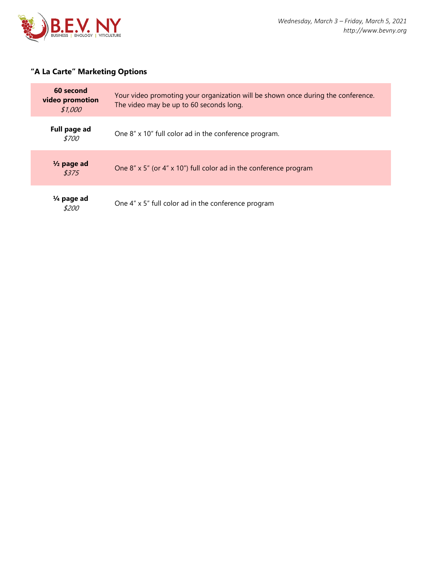

## **"A La Carte" Marketing Options**

| 60 second<br>video promotion<br>\$1,000 | Your video promoting your organization will be shown once during the conference.<br>The video may be up to 60 seconds long. |
|-----------------------------------------|-----------------------------------------------------------------------------------------------------------------------------|
| Full page ad<br><i>\$700</i>            | One 8" x 10" full color ad in the conference program.                                                                       |
| $\frac{1}{2}$ page ad<br>\$375          | One 8" $\times$ 5" (or 4" $\times$ 10") full color ad in the conference program                                             |
| $\frac{1}{4}$ page ad<br>\$200          | One 4" x 5" full color ad in the conference program                                                                         |